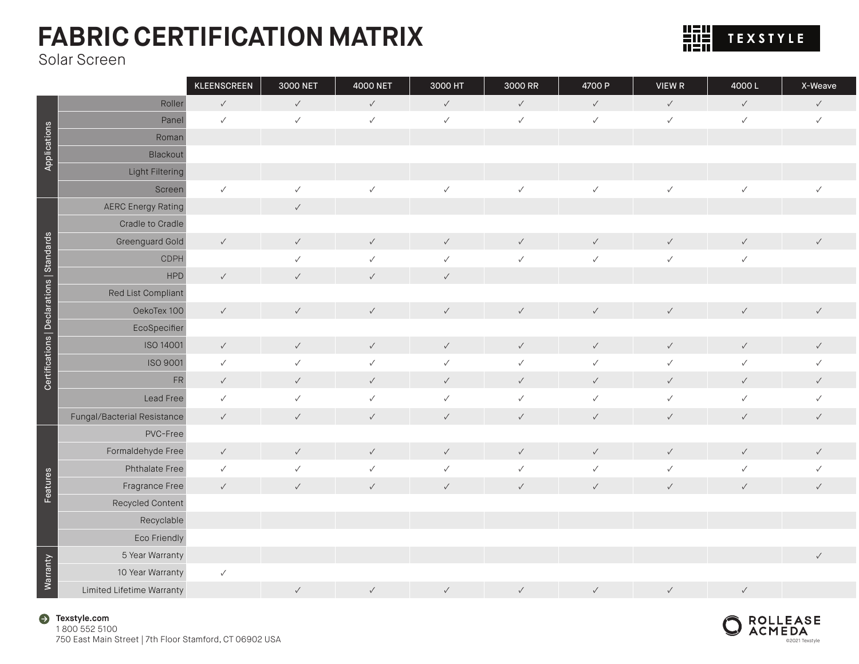

Solar Screen

|                                           |                             | KLEENSCREEN  | 3000 NET     | 4000 NET     | 3000 HT      | 3000 RR      | 4700 P       | VIEW R       | 4000L        | X-Weave      |
|-------------------------------------------|-----------------------------|--------------|--------------|--------------|--------------|--------------|--------------|--------------|--------------|--------------|
|                                           | Roller                      | $\checkmark$ | $\checkmark$ | $\checkmark$ | $\checkmark$ | $\checkmark$ | $\checkmark$ | $\checkmark$ | $\checkmark$ | $\checkmark$ |
|                                           | Panel                       | $\checkmark$ | $\checkmark$ | $\checkmark$ | $\checkmark$ | $\checkmark$ | $\checkmark$ | $\checkmark$ | $\checkmark$ | $\checkmark$ |
| Applications                              | Roman                       |              |              |              |              |              |              |              |              |              |
|                                           | Blackout                    |              |              |              |              |              |              |              |              |              |
|                                           | <b>Light Filtering</b>      |              |              |              |              |              |              |              |              |              |
|                                           | Screen                      | $\checkmark$ | $\checkmark$ | $\checkmark$ | $\checkmark$ | $\checkmark$ | $\checkmark$ | $\checkmark$ | $\checkmark$ | $\checkmark$ |
|                                           | <b>AERC Energy Rating</b>   |              | $\checkmark$ |              |              |              |              |              |              |              |
|                                           | Cradle to Cradle            |              |              |              |              |              |              |              |              |              |
|                                           | Greenguard Gold             | $\checkmark$ | $\checkmark$ | $\checkmark$ | $\checkmark$ | $\checkmark$ | $\checkmark$ | $\checkmark$ | $\checkmark$ | $\checkmark$ |
| Certifications   Declarations   Standards | CDPH                        |              | $\checkmark$ | $\checkmark$ | $\checkmark$ | $\checkmark$ | $\checkmark$ | $\checkmark$ | $\checkmark$ |              |
|                                           | <b>HPD</b>                  | $\checkmark$ | $\checkmark$ | $\checkmark$ | $\checkmark$ |              |              |              |              |              |
|                                           | Red List Compliant          |              |              |              |              |              |              |              |              |              |
|                                           | OekoTex 100                 | $\checkmark$ | $\checkmark$ | $\checkmark$ | $\checkmark$ | $\checkmark$ | $\checkmark$ | $\checkmark$ | $\checkmark$ | $\checkmark$ |
|                                           | EcoSpecifier                |              |              |              |              |              |              |              |              |              |
|                                           | ISO 14001                   | $\checkmark$ | $\checkmark$ | $\checkmark$ | $\checkmark$ | $\checkmark$ | $\checkmark$ | $\checkmark$ | $\checkmark$ | $\checkmark$ |
|                                           | ISO 9001                    | $\checkmark$ | $\checkmark$ | $\checkmark$ | $\checkmark$ | $\checkmark$ | $\checkmark$ | $\checkmark$ | $\checkmark$ | ✓            |
|                                           | ${\sf FR}$                  | $\checkmark$ | $\checkmark$ | $\checkmark$ | $\checkmark$ | $\checkmark$ | $\checkmark$ | $\checkmark$ | $\checkmark$ | $\checkmark$ |
|                                           | Lead Free                   | $\checkmark$ | $\checkmark$ | $\checkmark$ | $\checkmark$ | $\checkmark$ | $\checkmark$ | $\checkmark$ | $\checkmark$ | $\checkmark$ |
|                                           | Fungal/Bacterial Resistance | $\checkmark$ | $\checkmark$ | $\checkmark$ | $\checkmark$ | $\checkmark$ | $\checkmark$ | $\checkmark$ | $\checkmark$ | $\checkmark$ |
|                                           | PVC-Free                    |              |              |              |              |              |              |              |              |              |
|                                           | Formaldehyde Free           | $\checkmark$ | $\checkmark$ | $\checkmark$ | $\checkmark$ | $\checkmark$ | $\checkmark$ | $\checkmark$ | $\checkmark$ | $\checkmark$ |
|                                           | Phthalate Free              | $\checkmark$ | $\checkmark$ | $\checkmark$ | $\checkmark$ | $\checkmark$ | $\checkmark$ | $\checkmark$ | ✓            | $\checkmark$ |
| Features                                  | Fragrance Free              | $\checkmark$ | $\checkmark$ | $\checkmark$ | $\checkmark$ | $\checkmark$ | $\checkmark$ | $\checkmark$ | $\checkmark$ | $\checkmark$ |
|                                           | Recycled Content            |              |              |              |              |              |              |              |              |              |
|                                           | Recyclable                  |              |              |              |              |              |              |              |              |              |
|                                           | Eco Friendly                |              |              |              |              |              |              |              |              |              |
|                                           | 5 Year Warranty             |              |              |              |              |              |              |              |              | $\checkmark$ |
| Warranty                                  | 10 Year Warranty            | $\checkmark$ |              |              |              |              |              |              |              |              |
|                                           | Limited Lifetime Warranty   |              | $\checkmark$ | $\checkmark$ | $\checkmark$ | $\checkmark$ | $\checkmark$ | $\checkmark$ | $\checkmark$ |              |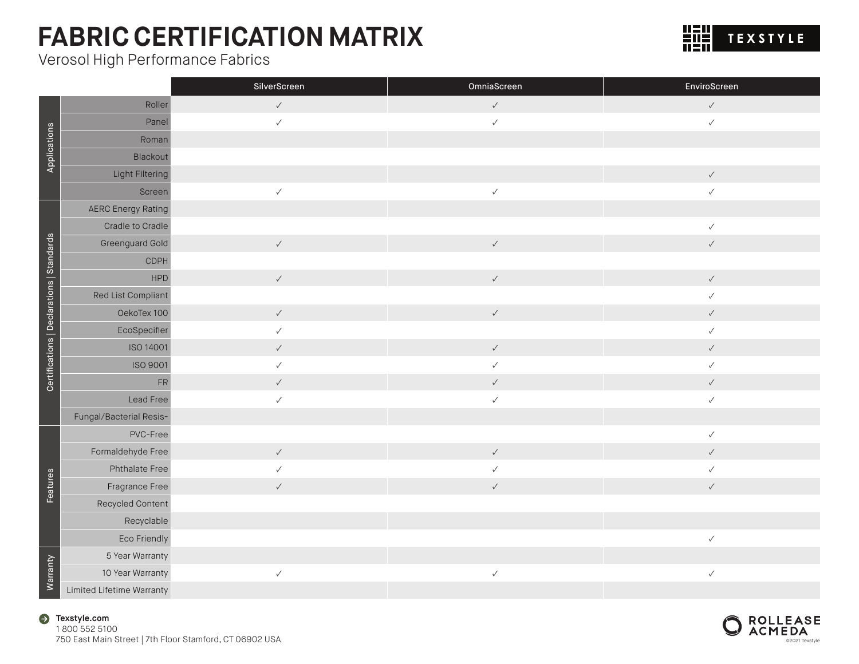Verosol High Performance Fabrics



|                                           |                           | SilverScreen | OmniaScreen  | EnviroScreen |
|-------------------------------------------|---------------------------|--------------|--------------|--------------|
|                                           | Roller                    | $\checkmark$ | $\checkmark$ | $\checkmark$ |
| Applications                              | Panel                     | $\checkmark$ | $\checkmark$ | $\checkmark$ |
|                                           | Roman                     |              |              |              |
|                                           | Blackout                  |              |              |              |
|                                           | Light Filtering           |              |              | $\checkmark$ |
|                                           | Screen                    | $\checkmark$ | $\checkmark$ | $\checkmark$ |
|                                           | <b>AERC Energy Rating</b> |              |              |              |
|                                           | Cradle to Cradle          |              |              | $\checkmark$ |
|                                           | Greenguard Gold           | $\checkmark$ | $\checkmark$ | $\checkmark$ |
|                                           | CDPH                      |              |              |              |
|                                           | HPD                       | $\checkmark$ | $\checkmark$ | $\checkmark$ |
|                                           | Red List Compliant        |              |              | $\checkmark$ |
|                                           | OekoTex 100               | $\checkmark$ | $\checkmark$ | $\checkmark$ |
| Certifications   Declarations   Standards | EcoSpecifier              | $\checkmark$ |              | $\checkmark$ |
|                                           | ISO 14001                 | $\checkmark$ | $\checkmark$ | $\checkmark$ |
|                                           | ISO 9001                  | $\checkmark$ | $\checkmark$ | $\checkmark$ |
|                                           | FR                        | $\checkmark$ | $\checkmark$ | $\checkmark$ |
|                                           | Lead Free                 | $\checkmark$ | $\checkmark$ | $\checkmark$ |
|                                           | Fungal/Bacterial Resis-   |              |              |              |
|                                           | PVC-Free                  |              |              | $\checkmark$ |
|                                           | Formaldehyde Free         | $\checkmark$ | $\checkmark$ | $\checkmark$ |
|                                           | Phthalate Free            | $\checkmark$ | $\checkmark$ | $\checkmark$ |
| Features                                  | Fragrance Free            | $\checkmark$ | $\checkmark$ | $\checkmark$ |
|                                           | Recycled Content          |              |              |              |
|                                           | Recyclable                |              |              |              |
|                                           | Eco Friendly              |              |              | $\checkmark$ |
|                                           | 5 Year Warranty           |              |              |              |
| Warranty                                  | 10 Year Warranty          | $\checkmark$ | $\checkmark$ | $\checkmark$ |
|                                           | Limited Lifetime Warranty |              |              |              |

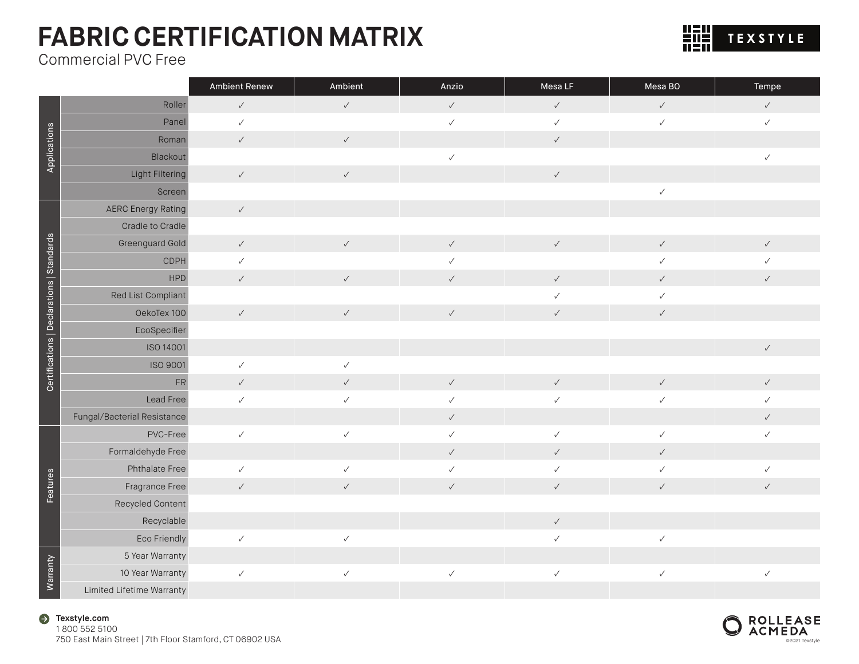Commercial PVC Free

|                                           |                             | <b>Ambient Renew</b> | Ambient      | Anzio        | Mesa LF      | Mesa BO      | Tempe        |
|-------------------------------------------|-----------------------------|----------------------|--------------|--------------|--------------|--------------|--------------|
|                                           | Roller                      | $\checkmark$         | $\checkmark$ | $\checkmark$ | $\checkmark$ | $\checkmark$ | $\checkmark$ |
|                                           | Panel                       | $\checkmark$         |              | $\checkmark$ | $\checkmark$ | $\checkmark$ | $\checkmark$ |
|                                           | Roman                       | $\checkmark$         | $\checkmark$ |              | $\checkmark$ |              |              |
| Applications                              | Blackout                    |                      |              | $\checkmark$ |              |              | $\checkmark$ |
|                                           | Light Filtering             | $\checkmark$         | $\checkmark$ |              | $\checkmark$ |              |              |
|                                           | Screen                      |                      |              |              |              | $\checkmark$ |              |
|                                           | <b>AERC Energy Rating</b>   | $\checkmark$         |              |              |              |              |              |
|                                           | Cradle to Cradle            |                      |              |              |              |              |              |
|                                           | Greenguard Gold             | $\checkmark$         | $\checkmark$ | $\checkmark$ | $\checkmark$ | $\checkmark$ | $\checkmark$ |
|                                           | CDPH                        | $\checkmark$         |              | ✓            |              | $\checkmark$ |              |
|                                           | <b>HPD</b>                  | $\checkmark$         | $\checkmark$ | $\checkmark$ | $\checkmark$ | $\checkmark$ | $\checkmark$ |
|                                           | Red List Compliant          |                      |              |              | $\checkmark$ | $\checkmark$ |              |
|                                           | OekoTex 100                 | $\checkmark$         | $\checkmark$ | $\checkmark$ | $\checkmark$ | $\checkmark$ |              |
| Certifications   Declarations   Standards | EcoSpecifier                |                      |              |              |              |              |              |
|                                           | ISO 14001                   |                      |              |              |              |              | $\checkmark$ |
|                                           | ISO 9001                    | $\checkmark$         | $\checkmark$ |              |              |              |              |
|                                           | ${\sf FR}$                  | $\checkmark$         | $\checkmark$ | $\checkmark$ | $\checkmark$ | $\checkmark$ | $\checkmark$ |
|                                           | Lead Free                   | $\checkmark$         | $\checkmark$ | $\checkmark$ | $\checkmark$ | $\checkmark$ |              |
|                                           | Fungal/Bacterial Resistance |                      |              | $\checkmark$ |              |              | $\checkmark$ |
|                                           | PVC-Free                    | $\checkmark$         | $\checkmark$ | $\checkmark$ | $\checkmark$ | $\checkmark$ | $\checkmark$ |
|                                           | Formaldehyde Free           |                      |              | $\checkmark$ | $\checkmark$ | $\checkmark$ |              |
|                                           | Phthalate Free              | $\checkmark$         | $\checkmark$ | $\checkmark$ | $\checkmark$ | $\checkmark$ | $\checkmark$ |
| Features                                  | Fragrance Free              | $\checkmark$         | $\checkmark$ | $\checkmark$ | $\checkmark$ | $\checkmark$ | $\checkmark$ |
|                                           | Recycled Content            |                      |              |              |              |              |              |
|                                           | Recyclable                  |                      |              |              | $\checkmark$ |              |              |
|                                           | Eco Friendly                | $\checkmark$         | $\checkmark$ |              | $\checkmark$ | $\checkmark$ |              |
|                                           | 5 Year Warranty             |                      |              |              |              |              |              |
| <b>Warranty</b>                           | 10 Year Warranty            | $\checkmark$         | $\checkmark$ | $\checkmark$ | $\checkmark$ | $\checkmark$ | $\checkmark$ |
|                                           | Limited Lifetime Warranty   |                      |              |              |              |              |              |



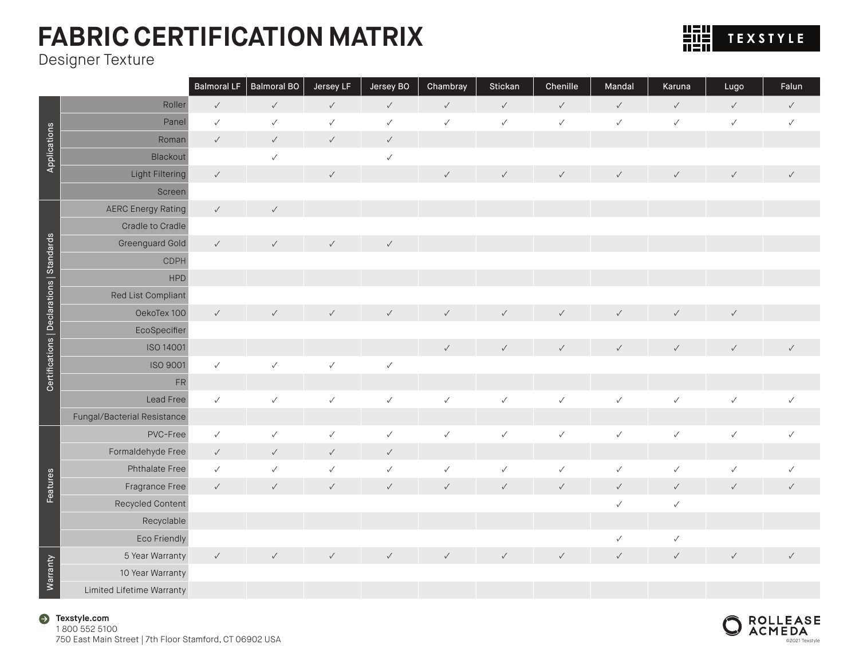Designer Texture

|                                           |                             | <b>Balmoral LF</b> | <b>Balmoral BO</b> | Jersey LF    | Jersey BO    | Chambray     | Stickan      | Chenille     | Mandal       | Karuna       | Lugo         | Falun        |
|-------------------------------------------|-----------------------------|--------------------|--------------------|--------------|--------------|--------------|--------------|--------------|--------------|--------------|--------------|--------------|
|                                           | Roller                      | $\checkmark$       | $\checkmark$       | $\checkmark$ | $\checkmark$ | $\checkmark$ | $\checkmark$ | $\checkmark$ | $\checkmark$ | $\checkmark$ | $\checkmark$ | $\checkmark$ |
|                                           | Panel                       | $\checkmark$       | $\checkmark$       | $\checkmark$ | $\checkmark$ | $\checkmark$ | $\checkmark$ | $\checkmark$ | $\checkmark$ | $\checkmark$ | $\checkmark$ | $\checkmark$ |
|                                           | Roman                       | $\checkmark$       | $\checkmark$       | $\checkmark$ | $\checkmark$ |              |              |              |              |              |              |              |
| Applications                              | Blackout                    |                    | $\checkmark$       |              | $\checkmark$ |              |              |              |              |              |              |              |
|                                           | Light Filtering             | $\checkmark$       |                    | $\checkmark$ |              | $\checkmark$ | $\checkmark$ | $\checkmark$ | $\checkmark$ | $\checkmark$ | $\checkmark$ | $\checkmark$ |
|                                           | Screen                      |                    |                    |              |              |              |              |              |              |              |              |              |
|                                           | <b>AERC Energy Rating</b>   | $\checkmark$       | $\checkmark$       |              |              |              |              |              |              |              |              |              |
|                                           | Cradle to Cradle            |                    |                    |              |              |              |              |              |              |              |              |              |
|                                           | Greenguard Gold             | $\checkmark$       | $\checkmark$       | $\checkmark$ | $\checkmark$ |              |              |              |              |              |              |              |
|                                           | <b>CDPH</b>                 |                    |                    |              |              |              |              |              |              |              |              |              |
|                                           | <b>HPD</b>                  |                    |                    |              |              |              |              |              |              |              |              |              |
|                                           | Red List Compliant          |                    |                    |              |              |              |              |              |              |              |              |              |
|                                           | OekoTex 100                 | $\checkmark$       | $\checkmark$       | $\checkmark$ | $\checkmark$ | $\checkmark$ | $\checkmark$ | $\checkmark$ | $\checkmark$ | $\checkmark$ | $\checkmark$ |              |
|                                           | EcoSpecifier                |                    |                    |              |              |              |              |              |              |              |              |              |
|                                           | <b>ISO 14001</b>            |                    |                    |              |              | $\checkmark$ | $\checkmark$ | $\checkmark$ | $\checkmark$ | $\checkmark$ | $\checkmark$ | $\checkmark$ |
| Certifications   Declarations   Standards | ISO 9001                    | $\checkmark$       | $\checkmark$       | $\checkmark$ | $\checkmark$ |              |              |              |              |              |              |              |
|                                           | ${\sf FR}$                  |                    |                    |              |              |              |              |              |              |              |              |              |
|                                           | Lead Free                   | $\checkmark$       | $\checkmark$       | $\checkmark$ | $\checkmark$ | $\checkmark$ | $\checkmark$ | $\checkmark$ | $\checkmark$ | $\checkmark$ | $\checkmark$ | $\checkmark$ |
|                                           | Fungal/Bacterial Resistance |                    |                    |              |              |              |              |              |              |              |              |              |
|                                           | PVC-Free                    | $\checkmark$       | $\checkmark$       | $\checkmark$ | $\checkmark$ | $\checkmark$ | $\checkmark$ | $\checkmark$ | $\checkmark$ | $\checkmark$ | $\checkmark$ | $\checkmark$ |
|                                           | Formaldehyde Free           | $\checkmark$       | $\checkmark$       | $\checkmark$ | $\checkmark$ |              |              |              |              |              |              |              |
|                                           | Phthalate Free              | $\checkmark$       | $\checkmark$       | $\checkmark$ | $\checkmark$ | $\checkmark$ | $\checkmark$ | $\checkmark$ | $\checkmark$ | $\checkmark$ | $\checkmark$ | $\checkmark$ |
| Features                                  | Fragrance Free              | $\checkmark$       | $\checkmark$       | $\checkmark$ | $\checkmark$ | $\checkmark$ | $\checkmark$ | $\checkmark$ | $\checkmark$ | $\checkmark$ | $\checkmark$ | $\checkmark$ |
|                                           | Recycled Content            |                    |                    |              |              |              |              |              | $\checkmark$ | $\checkmark$ |              |              |
|                                           | Recyclable                  |                    |                    |              |              |              |              |              |              |              |              |              |
|                                           | Eco Friendly                |                    |                    |              |              |              |              |              | $\checkmark$ | $\checkmark$ |              |              |
|                                           | 5 Year Warranty             | $\checkmark$       | $\checkmark$       | $\checkmark$ | $\checkmark$ | $\checkmark$ | $\checkmark$ | $\checkmark$ | $\checkmark$ | $\checkmark$ | $\checkmark$ | $\checkmark$ |
| Warranty                                  | 10 Year Warranty            |                    |                    |              |              |              |              |              |              |              |              |              |
|                                           | Limited Lifetime Warranty   |                    |                    |              |              |              |              |              |              |              |              |              |





**HTH** TEXSTYLE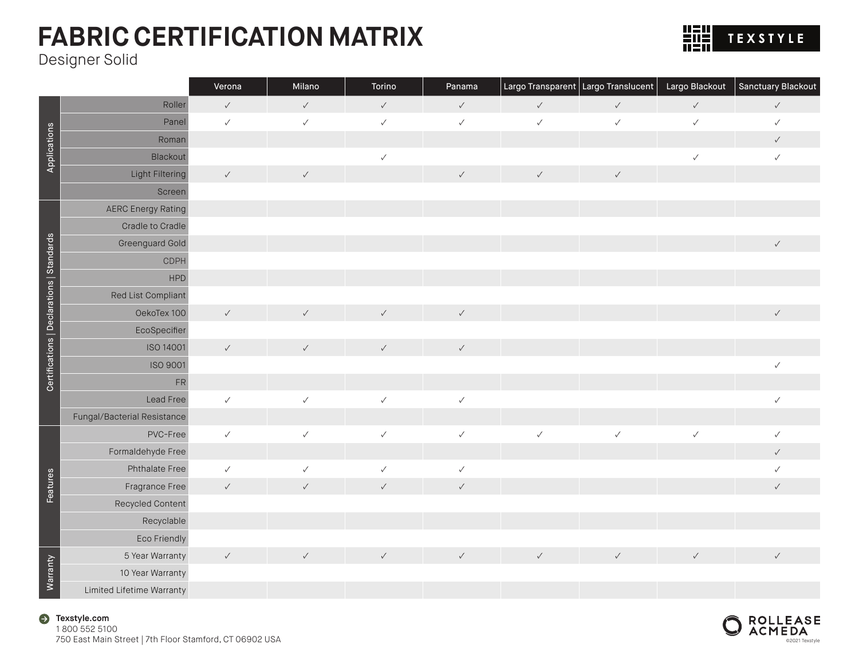

Designer Solid

|                                           |                             | Verona       | Milano       | Torino       | Panama       |              | Largo Transparent   Largo Translucent | Largo Blackout | Sanctuary Blackout |
|-------------------------------------------|-----------------------------|--------------|--------------|--------------|--------------|--------------|---------------------------------------|----------------|--------------------|
|                                           | Roller                      | $\checkmark$ | $\checkmark$ | $\checkmark$ | $\checkmark$ | $\checkmark$ | $\checkmark$                          | $\checkmark$   | $\checkmark$       |
|                                           | Panel                       | $\checkmark$ | $\checkmark$ | $\checkmark$ | $\checkmark$ | $\checkmark$ | $\checkmark$                          | $\checkmark$   | $\checkmark$       |
| Applications                              | Roman                       |              |              |              |              |              |                                       |                | $\checkmark$       |
|                                           | Blackout                    |              |              | $\checkmark$ |              |              |                                       | $\checkmark$   | $\checkmark$       |
|                                           | Light Filtering             | $\checkmark$ | $\checkmark$ |              | $\checkmark$ | $\checkmark$ | $\checkmark$                          |                |                    |
|                                           | Screen                      |              |              |              |              |              |                                       |                |                    |
|                                           | <b>AERC Energy Rating</b>   |              |              |              |              |              |                                       |                |                    |
|                                           | Cradle to Cradle            |              |              |              |              |              |                                       |                |                    |
|                                           | Greenguard Gold             |              |              |              |              |              |                                       |                | $\checkmark$       |
|                                           | <b>CDPH</b>                 |              |              |              |              |              |                                       |                |                    |
|                                           | <b>HPD</b>                  |              |              |              |              |              |                                       |                |                    |
|                                           | Red List Compliant          |              |              |              |              |              |                                       |                |                    |
| Certifications   Declarations   Standards | OekoTex 100                 | $\checkmark$ | $\checkmark$ | $\checkmark$ | $\checkmark$ |              |                                       |                | $\checkmark$       |
|                                           | EcoSpecifier                |              |              |              |              |              |                                       |                |                    |
|                                           | ISO 14001                   | $\checkmark$ | $\checkmark$ | $\checkmark$ | $\checkmark$ |              |                                       |                |                    |
|                                           | <b>ISO 9001</b>             |              |              |              |              |              |                                       |                | $\checkmark$       |
|                                           | ${\sf FR}$                  |              |              |              |              |              |                                       |                |                    |
|                                           | Lead Free                   | $\checkmark$ | $\checkmark$ | $\checkmark$ | $\checkmark$ |              |                                       |                | $\checkmark$       |
|                                           | Fungal/Bacterial Resistance |              |              |              |              |              |                                       |                |                    |
|                                           | PVC-Free                    | $\checkmark$ | $\checkmark$ | $\checkmark$ | $\checkmark$ | $\checkmark$ | $\checkmark$                          | $\checkmark$   | $\checkmark$       |
|                                           | Formaldehyde Free           |              |              |              |              |              |                                       |                | $\checkmark$       |
|                                           | Phthalate Free              | $\checkmark$ | $\checkmark$ | $\checkmark$ | $\checkmark$ |              |                                       |                | $\checkmark$       |
| Features                                  | Fragrance Free              | $\checkmark$ | $\checkmark$ | $\checkmark$ | $\checkmark$ |              |                                       |                | $\checkmark$       |
|                                           | Recycled Content            |              |              |              |              |              |                                       |                |                    |
|                                           | Recyclable                  |              |              |              |              |              |                                       |                |                    |
|                                           | Eco Friendly                |              |              |              |              |              |                                       |                |                    |
|                                           | 5 Year Warranty             | $\checkmark$ | $\checkmark$ | $\checkmark$ | $\checkmark$ | $\checkmark$ | $\checkmark$                          | $\checkmark$   | $\checkmark$       |
| Warranty                                  | 10 Year Warranty            |              |              |              |              |              |                                       |                |                    |
|                                           | Limited Lifetime Warranty   |              |              |              |              |              |                                       |                |                    |

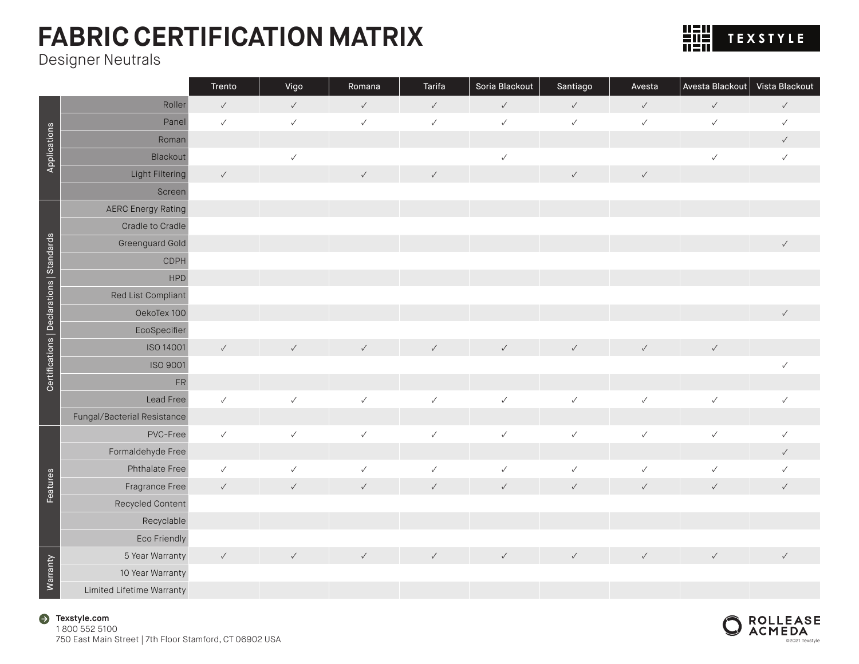Designer Neutrals

Applications

Applications

Certifications | Declarations | Standards

Certifications | Declarations | Standards

Features

Features

Warranty

|                             | Trento       | Vigo         | Romana       | Tarifa       | Soria Blackout | Santiago     | Avesta       | Avesta Blackout | Vista Blackout |
|-----------------------------|--------------|--------------|--------------|--------------|----------------|--------------|--------------|-----------------|----------------|
| Roller                      | $\checkmark$ | $\checkmark$ | $\checkmark$ | $\checkmark$ | $\checkmark$   | $\checkmark$ | $\checkmark$ | $\checkmark$    | $\checkmark$   |
| Panel                       | $\checkmark$ | $\checkmark$ | $\checkmark$ | $\checkmark$ | $\checkmark$   | $\checkmark$ | $\checkmark$ | $\checkmark$    | $\checkmark$   |
| Roman                       |              |              |              |              |                |              |              |                 | $\checkmark$   |
| Blackout                    |              | $\checkmark$ |              |              | $\checkmark$   |              |              | $\checkmark$    | $\checkmark$   |
| Light Filtering             | $\checkmark$ |              | $\checkmark$ | $\checkmark$ |                | $\checkmark$ | $\checkmark$ |                 |                |
| Screen                      |              |              |              |              |                |              |              |                 |                |
| <b>AERC Energy Rating</b>   |              |              |              |              |                |              |              |                 |                |
| Cradle to Cradle            |              |              |              |              |                |              |              |                 |                |
| Greenguard Gold             |              |              |              |              |                |              |              |                 | $\checkmark$   |
| <b>CDPH</b>                 |              |              |              |              |                |              |              |                 |                |
| <b>HPD</b>                  |              |              |              |              |                |              |              |                 |                |
| Red List Compliant          |              |              |              |              |                |              |              |                 |                |
| OekoTex 100                 |              |              |              |              |                |              |              |                 | $\checkmark$   |
| EcoSpecifier                |              |              |              |              |                |              |              |                 |                |
| ISO 14001                   | $\checkmark$ | $\checkmark$ | $\checkmark$ | $\checkmark$ | $\checkmark$   | $\checkmark$ | $\checkmark$ | $\checkmark$    |                |
| ISO 9001                    |              |              |              |              |                |              |              |                 | $\checkmark$   |
| FR                          |              |              |              |              |                |              |              |                 |                |
| Lead Free                   | $\checkmark$ | $\checkmark$ | $\checkmark$ | $\checkmark$ | $\checkmark$   | $\checkmark$ | $\checkmark$ | $\checkmark$    | $\checkmark$   |
| Fungal/Bacterial Resistance |              |              |              |              |                |              |              |                 |                |
| PVC-Free                    | $\checkmark$ | $\checkmark$ | $\checkmark$ | $\checkmark$ | $\checkmark$   | $\checkmark$ | $\checkmark$ | $\checkmark$    | $\checkmark$   |
| Formaldehyde Free           |              |              |              |              |                |              |              |                 | $\checkmark$   |
| Phthalate Free              | $\checkmark$ | $\checkmark$ | $\checkmark$ | $\checkmark$ | $\checkmark$   | $\checkmark$ | $\checkmark$ | $\checkmark$    | $\checkmark$   |
| Fragrance Free              | $\checkmark$ | $\checkmark$ | $\checkmark$ | $\checkmark$ | $\checkmark$   | $\checkmark$ | $\checkmark$ | $\checkmark$    | $\checkmark$   |
| Recycled Content            |              |              |              |              |                |              |              |                 |                |
| Recyclable                  |              |              |              |              |                |              |              |                 |                |
| Eco Friendly                |              |              |              |              |                |              |              |                 |                |
| 5 Year Warranty             | $\checkmark$ | $\checkmark$ | $\checkmark$ | $\checkmark$ | $\checkmark$   | $\checkmark$ | $\checkmark$ | $\checkmark$    | $\checkmark$   |
| 10 Year Warranty            |              |              |              |              |                |              |              |                 |                |

Limited Lifetime Warranty



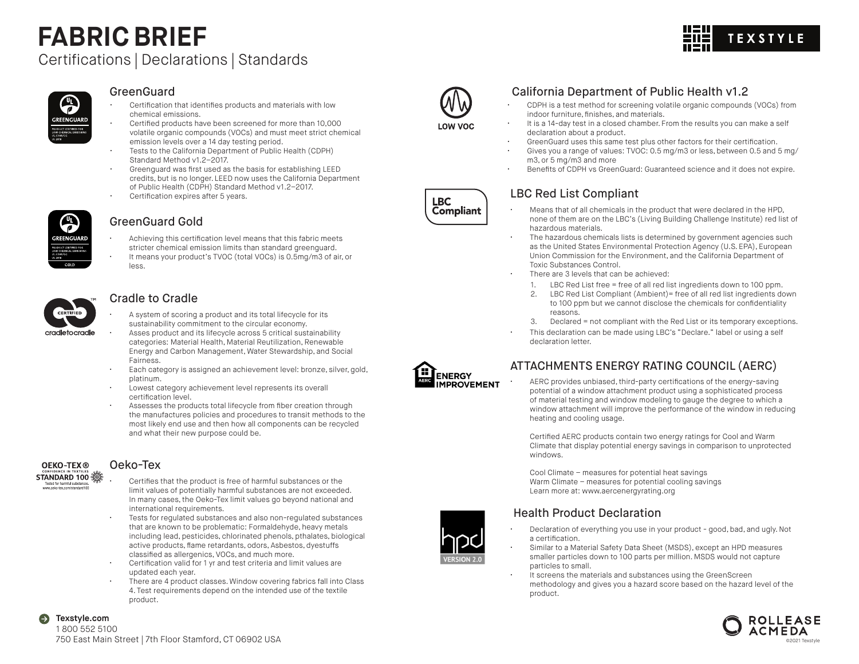# **FABRIC BRIEF**



### Certifications | Declarations | Standards

#### $\frac{1}{\epsilon}$ *GREENGUARD* CERTIFIED FOI

#### GreenGuard

- Certification that identifies products and materials with low chemical emissions.
- Certified products have been screened for more than 10,000 volatile organic compounds (VOCs) and must meet strict chemical emission levels over a 14 day testing period.
- Tests to the California Department of Public Health (CDPH) Standard Method v1.2–2017.
- Greenguard was first used as the basis for establishing LEED credits, but is no longer. LEED now uses the California Department of Public Health (CDPH) Standard Method v1.2–2017.
- Certification expires after 5 years.



#### GreenGuard Gold

- Achieving this certification level means that this fabric meets stricter chemical emission limits than standard greenguard.
- It means your product's TVOC (total VOCs) is 0.5mg/m3 of air, or less.



#### Cradle to Cradle

- A system of scoring a product and its total lifecycle for its sustainability commitment to the circular economy.
- Asses product and its lifecycle across 5 critical sustainability categories: Material Health, Material Reutilization, Renewable Energy and Carbon Management, Water Stewardship, and Social Fairness.
- Each category is assigned an achievement level: bronze, silver, gold, platinum.
- Lowest category achievement level represents its overall certification level.
- Assesses the products total lifecycle from fiber creation through the manufactures policies and procedures to transit methods to the most likely end use and then how all components can be recycled and what their new purpose could be.



Θ

#### Oeko-Tex

- Tested for harmful sub
- Certifies that the product is free of harmful substances or the limit values of potentially harmful substances are not exceeded. In many cases, the Oeko-Tex limit values go beyond national and international requirements.
- Tests for regulated substances and also non-regulated substances that are known to be problematic: Formaldehyde, heavy metals including lead, pesticides, chlorinated phenols, pthalates, biological active products, flame retardants, odors, Asbestos, dyestuffs classified as allergenics, VOCs, and much more.
- Certification valid for 1 yr and test criteria and limit values are updated each year.
- There are 4 product classes. Window covering fabrics fall into Class 4. Test requirements depend on the intended use of the textile product.



LOW VOC

#### California Department of Public Health v1.2

- CDPH is a test method for screening volatile organic compounds (VOCs) from indoor furniture, finishes, and materials.
- It is a 14-day test in a closed chamber. From the results you can make a self declaration about a product.
- GreenGuard uses this same test plus other factors for their certification.
- Gives you a range of values: TVOC: 0.5 mg/m3 or less, between 0.5 and 5 mg/ m3, or 5 mg/m3 and more
- Benefits of CDPH vs GreenGuard: Guaranteed science and it does not expire.

#### LBC Red List Compliant

- Means that of all chemicals in the product that were declared in the HPD, none of them are on the LBC's (Living Building Challenge Institute) red list of hazardous materials.
- The hazardous chemicals lists is determined by government agencies such as the United States Environmental Protection Agency (U.S. EPA), European Union Commission for the Environment, and the California Department of Toxic Substances Control.
- There are 3 levels that can be achieved:
	- 1. LBC Red List free = free of all red list ingredients down to 100 ppm.
	- 2. LBC Red List Compliant (Ambient)= free of all red list ingredients down to 100 ppm but we cannot disclose the chemicals for confidentiality reasons.
	- 3. Declared = not compliant with the Red List or its temporary exceptions.
- This declaration can be made using LBC's "Declare." label or using a self declaration letter.



#### ATTACHMENTS ENERGY RATING COUNCIL (AERC)

• AERC provides unbiased, third-party certifications of the energy-saving potential of a window attachment product using a sophisticated process of material testing and window modeling to gauge the degree to which a window attachment will improve the performance of the window in reducing heating and cooling usage.

Certified AERC products contain two energy ratings for Cool and Warm Climate that display potential energy savings in comparison to unprotected windows.

Cool Climate – measures for potential heat savings Warm Climate – measures for potential cooling savings Learn more at: www.aercenergyrating.org

#### Health Product Declaration

- 
- Declaration of everything you use in your product good, bad, and ugly. Not a certification.
- Similar to a Material Safety Data Sheet (MSDS), except an HPD measures smaller particles down to 100 parts per million. MSDS would not capture particles to small.
- It screens the materials and substances using the GreenScreen methodology and gives you a hazard score based on the hazard level of the product.



**Texstyle.com**  1 800 552 5100 750 East Main Street | 7th Floor Stamford, CT 06902 USA



**LBC Compliant**